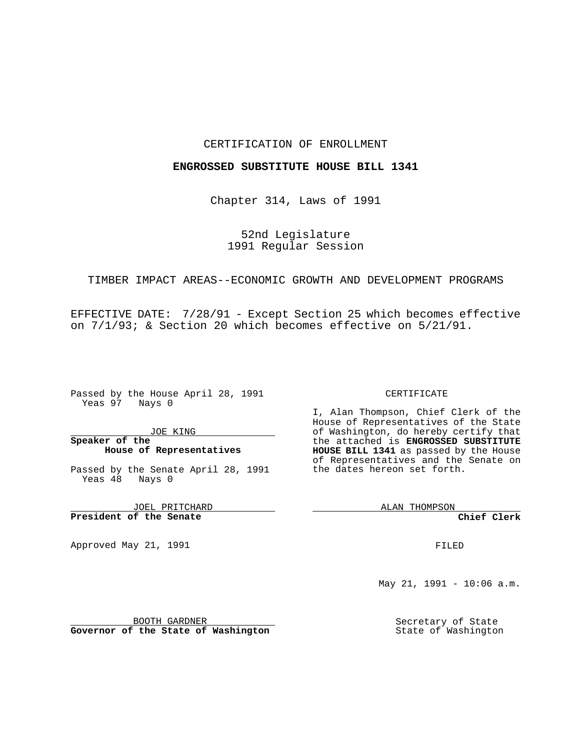#### CERTIFICATION OF ENROLLMENT

### **ENGROSSED SUBSTITUTE HOUSE BILL 1341**

Chapter 314, Laws of 1991

52nd Legislature 1991 Regular Session

# TIMBER IMPACT AREAS--ECONOMIC GROWTH AND DEVELOPMENT PROGRAMS

EFFECTIVE DATE: 7/28/91 - Except Section 25 which becomes effective on 7/1/93; & Section 20 which becomes effective on 5/21/91.

Passed by the House April 28, 1991 Yeas 97 Nays 0

JOE KING

## **Speaker of the House of Representatives**

Passed by the Senate April 28, 1991 Yeas  $48$  Nays 0

JOEL PRITCHARD **President of the Senate**

Approved May 21, 1991

#### CERTIFICATE

I, Alan Thompson, Chief Clerk of the House of Representatives of the State of Washington, do hereby certify that the attached is **ENGROSSED SUBSTITUTE HOUSE BILL 1341** as passed by the House of Representatives and the Senate on the dates hereon set forth.

ALAN THOMPSON

**Chief Clerk**

FILED

May 21, 1991 - 10:06 a.m.

Secretary of State State of Washington

BOOTH GARDNER **Governor of the State of Washington**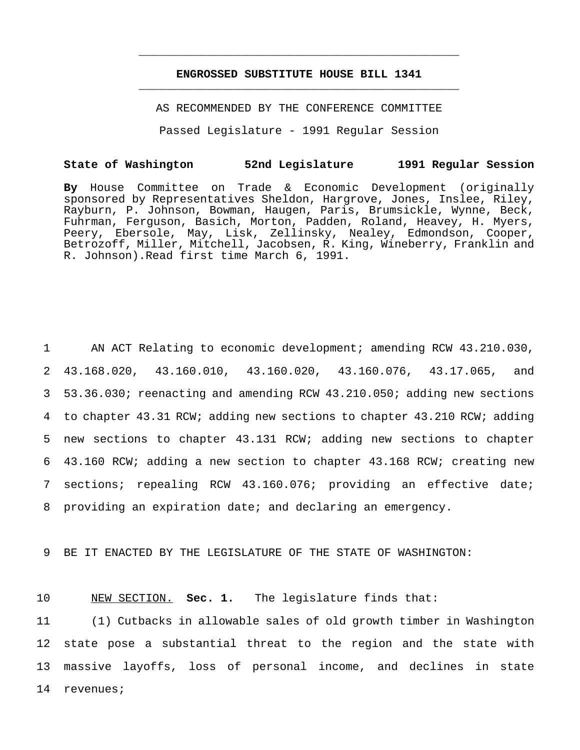# **ENGROSSED SUBSTITUTE HOUSE BILL 1341** \_\_\_\_\_\_\_\_\_\_\_\_\_\_\_\_\_\_\_\_\_\_\_\_\_\_\_\_\_\_\_\_\_\_\_\_\_\_\_\_\_\_\_\_\_\_\_

\_\_\_\_\_\_\_\_\_\_\_\_\_\_\_\_\_\_\_\_\_\_\_\_\_\_\_\_\_\_\_\_\_\_\_\_\_\_\_\_\_\_\_\_\_\_\_

AS RECOMMENDED BY THE CONFERENCE COMMITTEE

Passed Legislature - 1991 Regular Session

#### **State of Washington 52nd Legislature 1991 Regular Session**

**By** House Committee on Trade & Economic Development (originally sponsored by Representatives Sheldon, Hargrove, Jones, Inslee, Riley, Rayburn, P. Johnson, Bowman, Haugen, Paris, Brumsickle, Wynne, Beck, Fuhrman, Ferguson, Basich, Morton, Padden, Roland, Heavey, H. Myers, Peery, Ebersole, May, Lisk, Zellinsky, Nealey, Edmondson, Cooper, Betrozoff, Miller, Mitchell, Jacobsen, R. King, Wineberry, Franklin and R. Johnson).Read first time March 6, 1991.

 AN ACT Relating to economic development; amending RCW 43.210.030, 43.168.020, 43.160.010, 43.160.020, 43.160.076, 43.17.065, and 53.36.030; reenacting and amending RCW 43.210.050; adding new sections to chapter 43.31 RCW; adding new sections to chapter 43.210 RCW; adding new sections to chapter 43.131 RCW; adding new sections to chapter 43.160 RCW; adding a new section to chapter 43.168 RCW; creating new sections; repealing RCW 43.160.076; providing an effective date; providing an expiration date; and declaring an emergency.

9 BE IT ENACTED BY THE LEGISLATURE OF THE STATE OF WASHINGTON:

10 NEW SECTION. **Sec. 1.** The legislature finds that:

 (1) Cutbacks in allowable sales of old growth timber in Washington state pose a substantial threat to the region and the state with massive layoffs, loss of personal income, and declines in state 14 revenues;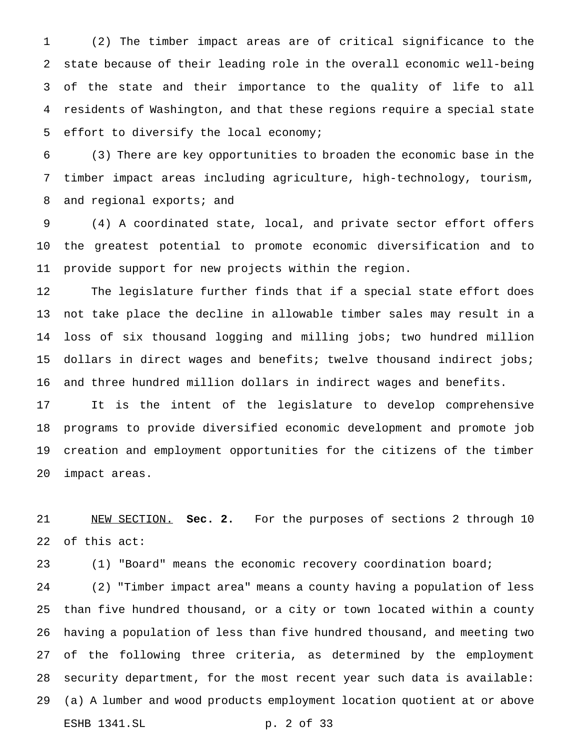(2) The timber impact areas are of critical significance to the state because of their leading role in the overall economic well-being of the state and their importance to the quality of life to all residents of Washington, and that these regions require a special state effort to diversify the local economy;

 (3) There are key opportunities to broaden the economic base in the timber impact areas including agriculture, high-technology, tourism, 8 and regional exports; and

 (4) A coordinated state, local, and private sector effort offers the greatest potential to promote economic diversification and to provide support for new projects within the region.

 The legislature further finds that if a special state effort does not take place the decline in allowable timber sales may result in a loss of six thousand logging and milling jobs; two hundred million 15 dollars in direct wages and benefits; twelve thousand indirect jobs; and three hundred million dollars in indirect wages and benefits.

 It is the intent of the legislature to develop comprehensive programs to provide diversified economic development and promote job creation and employment opportunities for the citizens of the timber impact areas.

 NEW SECTION. **Sec. 2.** For the purposes of sections 2 through 10 of this act:

(1) "Board" means the economic recovery coordination board;

 (2) "Timber impact area" means a county having a population of less than five hundred thousand, or a city or town located within a county having a population of less than five hundred thousand, and meeting two of the following three criteria, as determined by the employment security department, for the most recent year such data is available: (a) A lumber and wood products employment location quotient at or above ESHB 1341.SL p. 2 of 33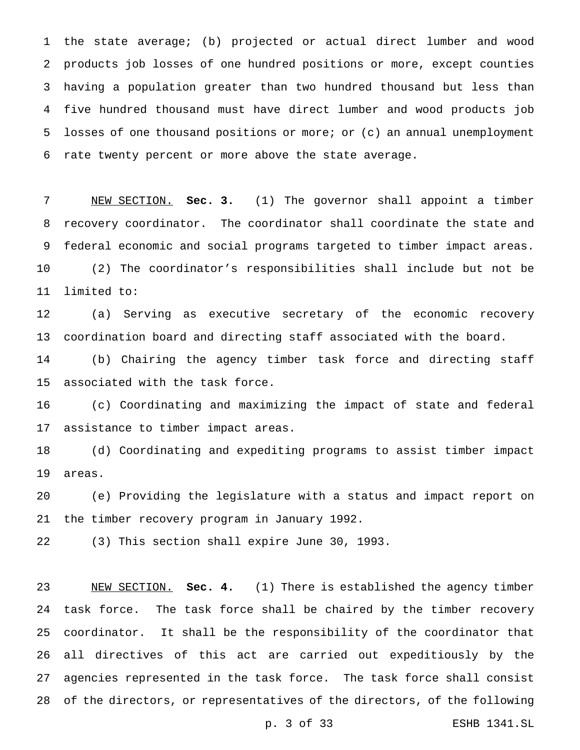the state average; (b) projected or actual direct lumber and wood products job losses of one hundred positions or more, except counties having a population greater than two hundred thousand but less than five hundred thousand must have direct lumber and wood products job losses of one thousand positions or more; or (c) an annual unemployment rate twenty percent or more above the state average.

 NEW SECTION. **Sec. 3.** (1) The governor shall appoint a timber recovery coordinator. The coordinator shall coordinate the state and federal economic and social programs targeted to timber impact areas. (2) The coordinator's responsibilities shall include but not be limited to:

 (a) Serving as executive secretary of the economic recovery coordination board and directing staff associated with the board.

 (b) Chairing the agency timber task force and directing staff associated with the task force.

 (c) Coordinating and maximizing the impact of state and federal assistance to timber impact areas.

 (d) Coordinating and expediting programs to assist timber impact areas.

 (e) Providing the legislature with a status and impact report on the timber recovery program in January 1992.

(3) This section shall expire June 30, 1993.

 NEW SECTION. **Sec. 4.** (1) There is established the agency timber task force. The task force shall be chaired by the timber recovery coordinator. It shall be the responsibility of the coordinator that all directives of this act are carried out expeditiously by the agencies represented in the task force. The task force shall consist of the directors, or representatives of the directors, of the following

p. 3 of 33 ESHB 1341.SL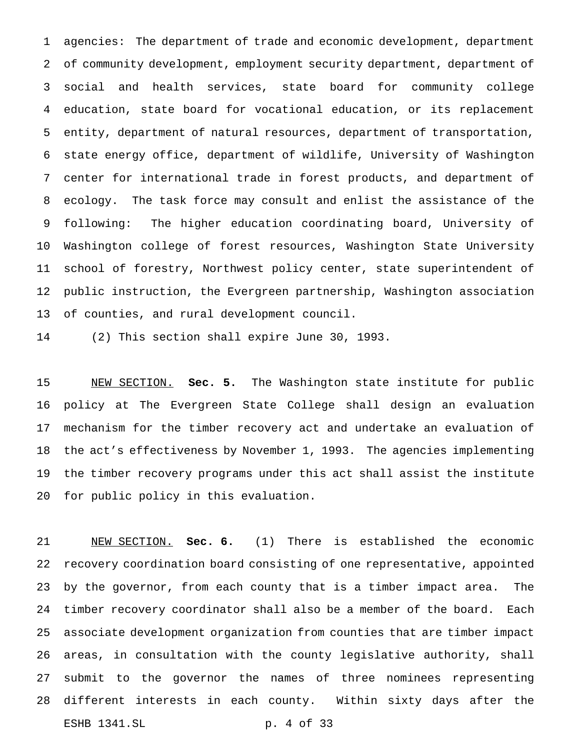agencies: The department of trade and economic development, department 2 of community development, employment security department, department of social and health services, state board for community college education, state board for vocational education, or its replacement entity, department of natural resources, department of transportation, state energy office, department of wildlife, University of Washington center for international trade in forest products, and department of ecology. The task force may consult and enlist the assistance of the following: The higher education coordinating board, University of Washington college of forest resources, Washington State University school of forestry, Northwest policy center, state superintendent of public instruction, the Evergreen partnership, Washington association of counties, and rural development council.

(2) This section shall expire June 30, 1993.

 NEW SECTION. **Sec. 5.** The Washington state institute for public policy at The Evergreen State College shall design an evaluation mechanism for the timber recovery act and undertake an evaluation of the act's effectiveness by November 1, 1993. The agencies implementing the timber recovery programs under this act shall assist the institute for public policy in this evaluation.

 NEW SECTION. **Sec. 6.** (1) There is established the economic recovery coordination board consisting of one representative, appointed by the governor, from each county that is a timber impact area. The timber recovery coordinator shall also be a member of the board. Each associate development organization from counties that are timber impact areas, in consultation with the county legislative authority, shall submit to the governor the names of three nominees representing different interests in each county. Within sixty days after the ESHB 1341.SL p. 4 of 33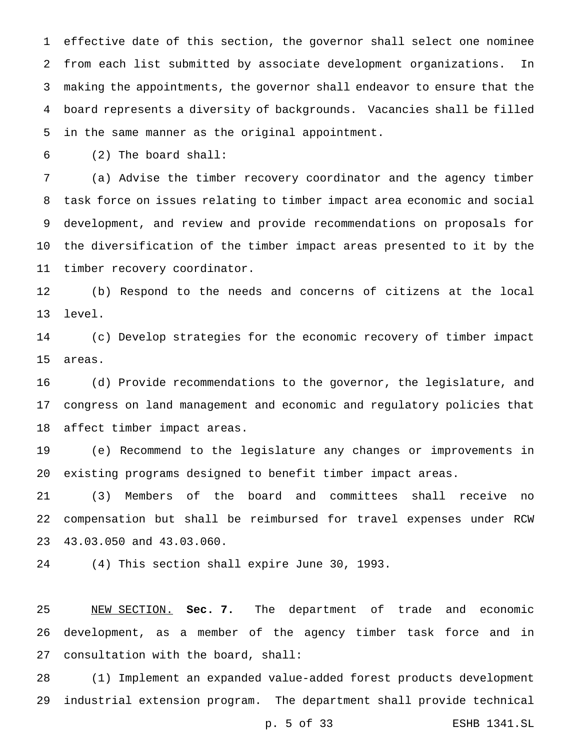effective date of this section, the governor shall select one nominee from each list submitted by associate development organizations. In making the appointments, the governor shall endeavor to ensure that the board represents a diversity of backgrounds. Vacancies shall be filled in the same manner as the original appointment.

(2) The board shall:

 (a) Advise the timber recovery coordinator and the agency timber task force on issues relating to timber impact area economic and social development, and review and provide recommendations on proposals for the diversification of the timber impact areas presented to it by the timber recovery coordinator.

 (b) Respond to the needs and concerns of citizens at the local level.

 (c) Develop strategies for the economic recovery of timber impact areas.

 (d) Provide recommendations to the governor, the legislature, and congress on land management and economic and regulatory policies that affect timber impact areas.

 (e) Recommend to the legislature any changes or improvements in existing programs designed to benefit timber impact areas.

 (3) Members of the board and committees shall receive no compensation but shall be reimbursed for travel expenses under RCW 43.03.050 and 43.03.060.

(4) This section shall expire June 30, 1993.

 NEW SECTION. **Sec. 7.** The department of trade and economic development, as a member of the agency timber task force and in consultation with the board, shall:

 (1) Implement an expanded value-added forest products development industrial extension program. The department shall provide technical

p. 5 of 33 ESHB 1341.SL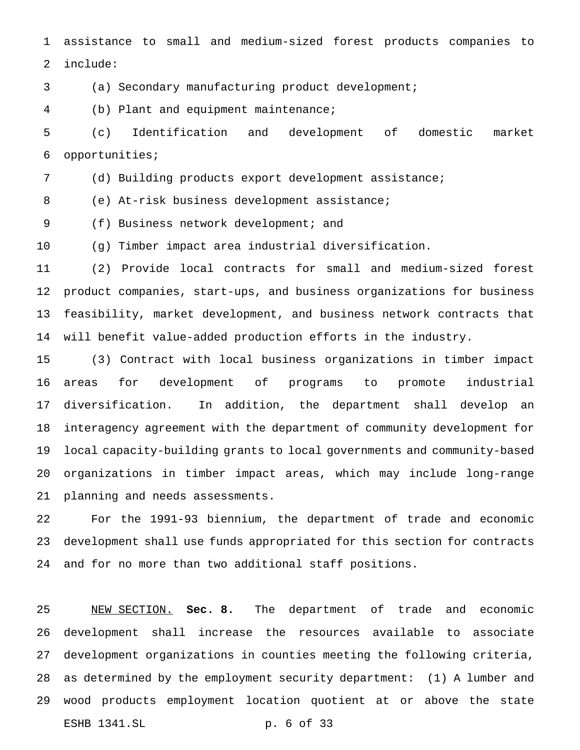assistance to small and medium-sized forest products companies to include:

(a) Secondary manufacturing product development;

(b) Plant and equipment maintenance;

 (c) Identification and development of domestic market opportunities;

(d) Building products export development assistance;

(e) At-risk business development assistance;

(f) Business network development; and

(g) Timber impact area industrial diversification.

 (2) Provide local contracts for small and medium-sized forest product companies, start-ups, and business organizations for business feasibility, market development, and business network contracts that will benefit value-added production efforts in the industry.

 (3) Contract with local business organizations in timber impact areas for development of programs to promote industrial diversification. In addition, the department shall develop an interagency agreement with the department of community development for local capacity-building grants to local governments and community-based organizations in timber impact areas, which may include long-range planning and needs assessments.

 For the 1991-93 biennium, the department of trade and economic development shall use funds appropriated for this section for contracts and for no more than two additional staff positions.

 NEW SECTION. **Sec. 8.** The department of trade and economic development shall increase the resources available to associate development organizations in counties meeting the following criteria, as determined by the employment security department: (1) A lumber and wood products employment location quotient at or above the state ESHB 1341.SL p. 6 of 33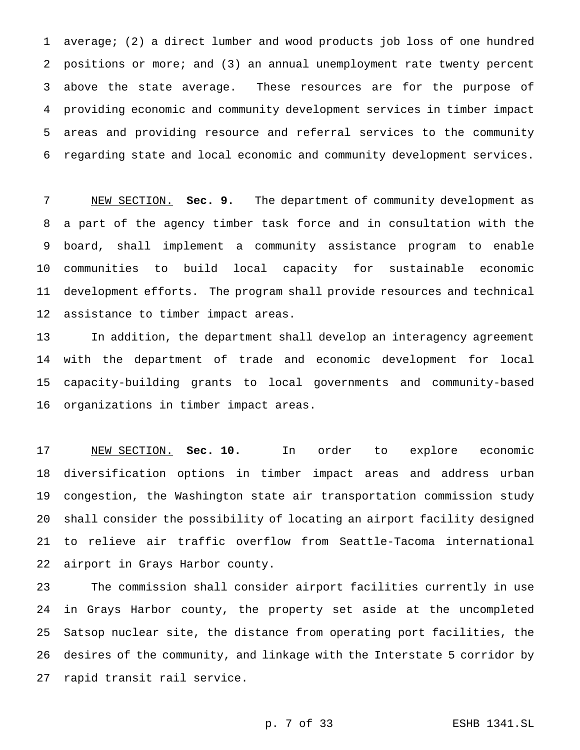average; (2) a direct lumber and wood products job loss of one hundred positions or more; and (3) an annual unemployment rate twenty percent above the state average. These resources are for the purpose of providing economic and community development services in timber impact areas and providing resource and referral services to the community regarding state and local economic and community development services.

 NEW SECTION. **Sec. 9.** The department of community development as a part of the agency timber task force and in consultation with the board, shall implement a community assistance program to enable communities to build local capacity for sustainable economic development efforts. The program shall provide resources and technical assistance to timber impact areas.

 In addition, the department shall develop an interagency agreement with the department of trade and economic development for local capacity-building grants to local governments and community-based organizations in timber impact areas.

 NEW SECTION. **Sec. 10.** In order to explore economic diversification options in timber impact areas and address urban congestion, the Washington state air transportation commission study shall consider the possibility of locating an airport facility designed to relieve air traffic overflow from Seattle-Tacoma international airport in Grays Harbor county.

 The commission shall consider airport facilities currently in use in Grays Harbor county, the property set aside at the uncompleted Satsop nuclear site, the distance from operating port facilities, the desires of the community, and linkage with the Interstate 5 corridor by rapid transit rail service.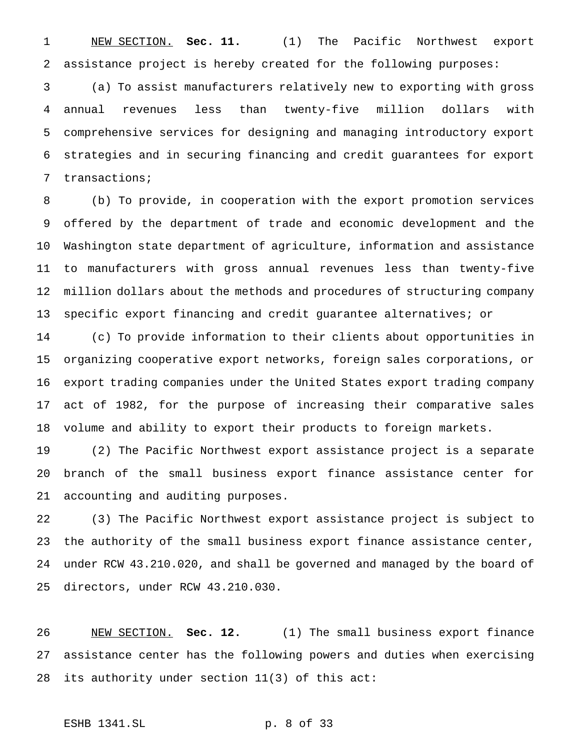NEW SECTION. **Sec. 11.** (1) The Pacific Northwest export assistance project is hereby created for the following purposes:

 (a) To assist manufacturers relatively new to exporting with gross annual revenues less than twenty-five million dollars with comprehensive services for designing and managing introductory export strategies and in securing financing and credit guarantees for export transactions;

 (b) To provide, in cooperation with the export promotion services offered by the department of trade and economic development and the Washington state department of agriculture, information and assistance to manufacturers with gross annual revenues less than twenty-five million dollars about the methods and procedures of structuring company specific export financing and credit guarantee alternatives; or

 (c) To provide information to their clients about opportunities in organizing cooperative export networks, foreign sales corporations, or export trading companies under the United States export trading company act of 1982, for the purpose of increasing their comparative sales volume and ability to export their products to foreign markets.

 (2) The Pacific Northwest export assistance project is a separate branch of the small business export finance assistance center for accounting and auditing purposes.

 (3) The Pacific Northwest export assistance project is subject to the authority of the small business export finance assistance center, under RCW 43.210.020, and shall be governed and managed by the board of directors, under RCW 43.210.030.

 NEW SECTION. **Sec. 12.** (1) The small business export finance assistance center has the following powers and duties when exercising its authority under section 11(3) of this act:

# ESHB 1341.SL p. 8 of 33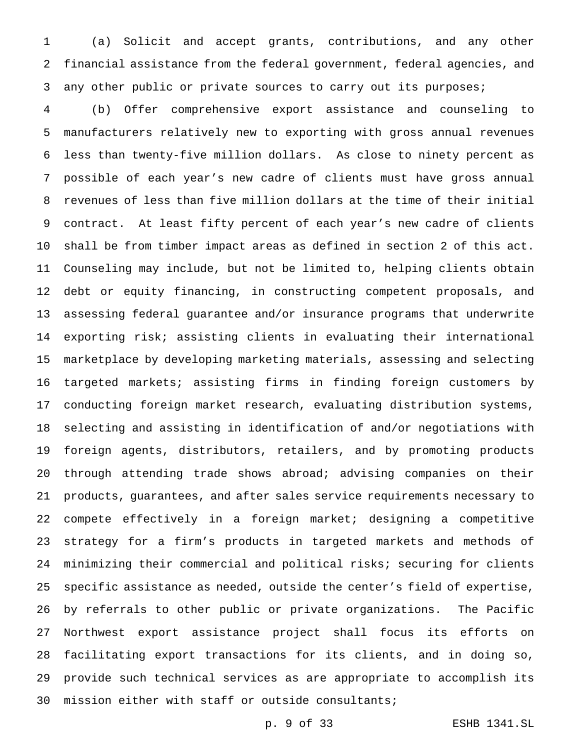(a) Solicit and accept grants, contributions, and any other financial assistance from the federal government, federal agencies, and any other public or private sources to carry out its purposes;

 (b) Offer comprehensive export assistance and counseling to manufacturers relatively new to exporting with gross annual revenues less than twenty-five million dollars. As close to ninety percent as possible of each year's new cadre of clients must have gross annual revenues of less than five million dollars at the time of their initial contract. At least fifty percent of each year's new cadre of clients shall be from timber impact areas as defined in section 2 of this act. Counseling may include, but not be limited to, helping clients obtain debt or equity financing, in constructing competent proposals, and assessing federal guarantee and/or insurance programs that underwrite exporting risk; assisting clients in evaluating their international marketplace by developing marketing materials, assessing and selecting targeted markets; assisting firms in finding foreign customers by conducting foreign market research, evaluating distribution systems, selecting and assisting in identification of and/or negotiations with foreign agents, distributors, retailers, and by promoting products through attending trade shows abroad; advising companies on their products, guarantees, and after sales service requirements necessary to compete effectively in a foreign market; designing a competitive strategy for a firm's products in targeted markets and methods of minimizing their commercial and political risks; securing for clients specific assistance as needed, outside the center's field of expertise, by referrals to other public or private organizations. The Pacific Northwest export assistance project shall focus its efforts on facilitating export transactions for its clients, and in doing so, provide such technical services as are appropriate to accomplish its mission either with staff or outside consultants;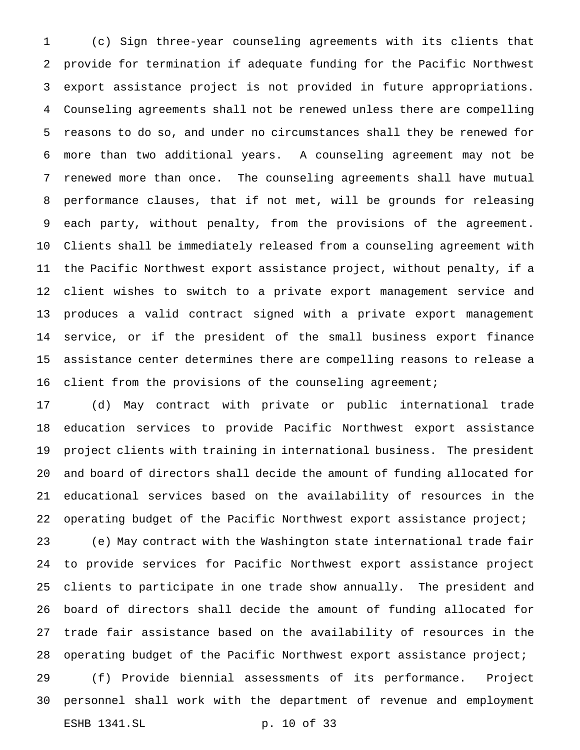(c) Sign three-year counseling agreements with its clients that provide for termination if adequate funding for the Pacific Northwest export assistance project is not provided in future appropriations. Counseling agreements shall not be renewed unless there are compelling reasons to do so, and under no circumstances shall they be renewed for more than two additional years. A counseling agreement may not be renewed more than once. The counseling agreements shall have mutual performance clauses, that if not met, will be grounds for releasing each party, without penalty, from the provisions of the agreement. Clients shall be immediately released from a counseling agreement with the Pacific Northwest export assistance project, without penalty, if a client wishes to switch to a private export management service and produces a valid contract signed with a private export management service, or if the president of the small business export finance assistance center determines there are compelling reasons to release a client from the provisions of the counseling agreement;

 (d) May contract with private or public international trade education services to provide Pacific Northwest export assistance project clients with training in international business. The president and board of directors shall decide the amount of funding allocated for educational services based on the availability of resources in the operating budget of the Pacific Northwest export assistance project;

 (e) May contract with the Washington state international trade fair to provide services for Pacific Northwest export assistance project clients to participate in one trade show annually. The president and board of directors shall decide the amount of funding allocated for trade fair assistance based on the availability of resources in the operating budget of the Pacific Northwest export assistance project;

 (f) Provide biennial assessments of its performance. Project personnel shall work with the department of revenue and employment ESHB 1341.SL p. 10 of 33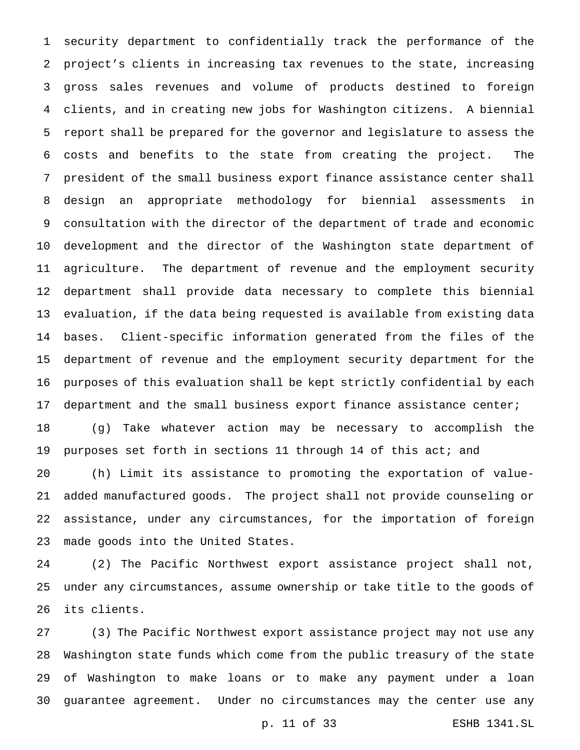security department to confidentially track the performance of the project's clients in increasing tax revenues to the state, increasing gross sales revenues and volume of products destined to foreign clients, and in creating new jobs for Washington citizens. A biennial report shall be prepared for the governor and legislature to assess the costs and benefits to the state from creating the project. The president of the small business export finance assistance center shall design an appropriate methodology for biennial assessments in consultation with the director of the department of trade and economic development and the director of the Washington state department of agriculture. The department of revenue and the employment security department shall provide data necessary to complete this biennial evaluation, if the data being requested is available from existing data bases. Client-specific information generated from the files of the department of revenue and the employment security department for the purposes of this evaluation shall be kept strictly confidential by each department and the small business export finance assistance center; (g) Take whatever action may be necessary to accomplish the purposes set forth in sections 11 through 14 of this act; and (h) Limit its assistance to promoting the exportation of value- added manufactured goods. The project shall not provide counseling or assistance, under any circumstances, for the importation of foreign

made goods into the United States.

 (2) The Pacific Northwest export assistance project shall not, under any circumstances, assume ownership or take title to the goods of its clients.

 (3) The Pacific Northwest export assistance project may not use any Washington state funds which come from the public treasury of the state of Washington to make loans or to make any payment under a loan guarantee agreement. Under no circumstances may the center use any

p. 11 of 33 ESHB 1341.SL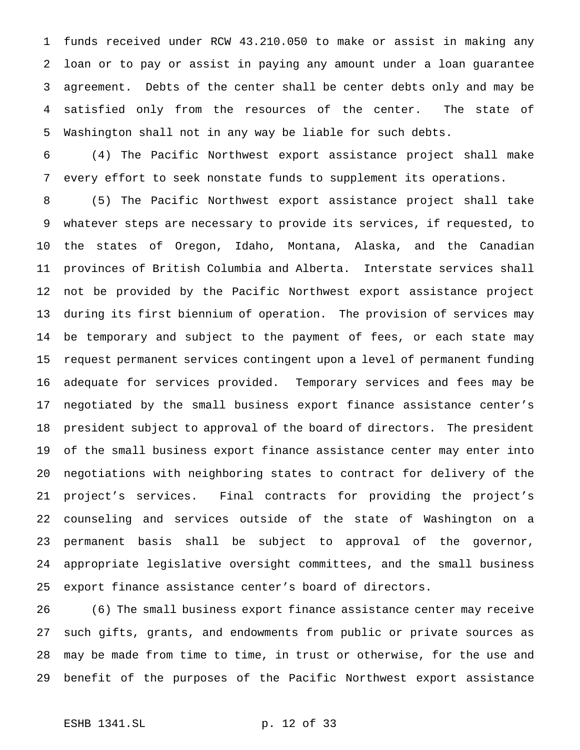funds received under RCW 43.210.050 to make or assist in making any loan or to pay or assist in paying any amount under a loan guarantee agreement. Debts of the center shall be center debts only and may be satisfied only from the resources of the center. The state of Washington shall not in any way be liable for such debts.

 (4) The Pacific Northwest export assistance project shall make every effort to seek nonstate funds to supplement its operations.

 (5) The Pacific Northwest export assistance project shall take whatever steps are necessary to provide its services, if requested, to the states of Oregon, Idaho, Montana, Alaska, and the Canadian provinces of British Columbia and Alberta. Interstate services shall not be provided by the Pacific Northwest export assistance project during its first biennium of operation. The provision of services may be temporary and subject to the payment of fees, or each state may request permanent services contingent upon a level of permanent funding adequate for services provided. Temporary services and fees may be negotiated by the small business export finance assistance center's president subject to approval of the board of directors. The president of the small business export finance assistance center may enter into negotiations with neighboring states to contract for delivery of the project's services. Final contracts for providing the project's counseling and services outside of the state of Washington on a permanent basis shall be subject to approval of the governor, appropriate legislative oversight committees, and the small business export finance assistance center's board of directors.

 (6) The small business export finance assistance center may receive such gifts, grants, and endowments from public or private sources as may be made from time to time, in trust or otherwise, for the use and benefit of the purposes of the Pacific Northwest export assistance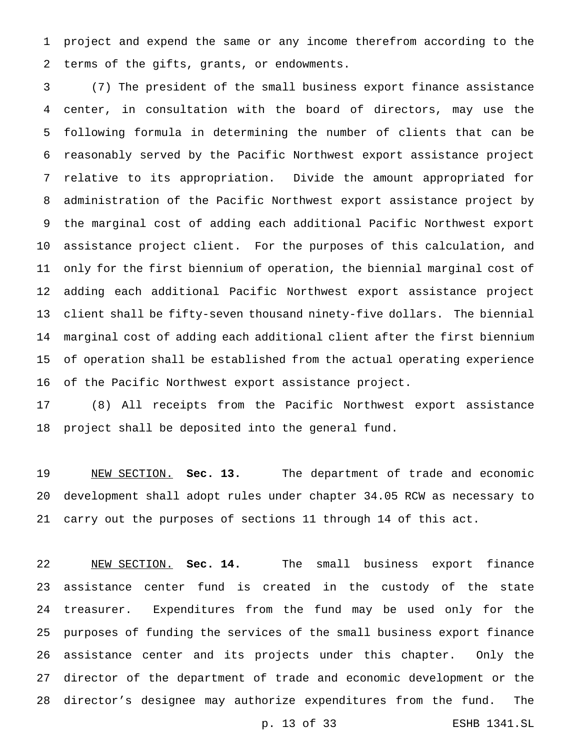project and expend the same or any income therefrom according to the terms of the gifts, grants, or endowments.

 (7) The president of the small business export finance assistance center, in consultation with the board of directors, may use the following formula in determining the number of clients that can be reasonably served by the Pacific Northwest export assistance project relative to its appropriation. Divide the amount appropriated for administration of the Pacific Northwest export assistance project by the marginal cost of adding each additional Pacific Northwest export assistance project client. For the purposes of this calculation, and only for the first biennium of operation, the biennial marginal cost of adding each additional Pacific Northwest export assistance project client shall be fifty-seven thousand ninety-five dollars. The biennial marginal cost of adding each additional client after the first biennium of operation shall be established from the actual operating experience of the Pacific Northwest export assistance project.

 (8) All receipts from the Pacific Northwest export assistance project shall be deposited into the general fund.

 NEW SECTION. **Sec. 13.** The department of trade and economic development shall adopt rules under chapter 34.05 RCW as necessary to carry out the purposes of sections 11 through 14 of this act.

 NEW SECTION. **Sec. 14.** The small business export finance assistance center fund is created in the custody of the state treasurer. Expenditures from the fund may be used only for the purposes of funding the services of the small business export finance assistance center and its projects under this chapter. Only the director of the department of trade and economic development or the director's designee may authorize expenditures from the fund. The

p. 13 of 33 ESHB 1341.SL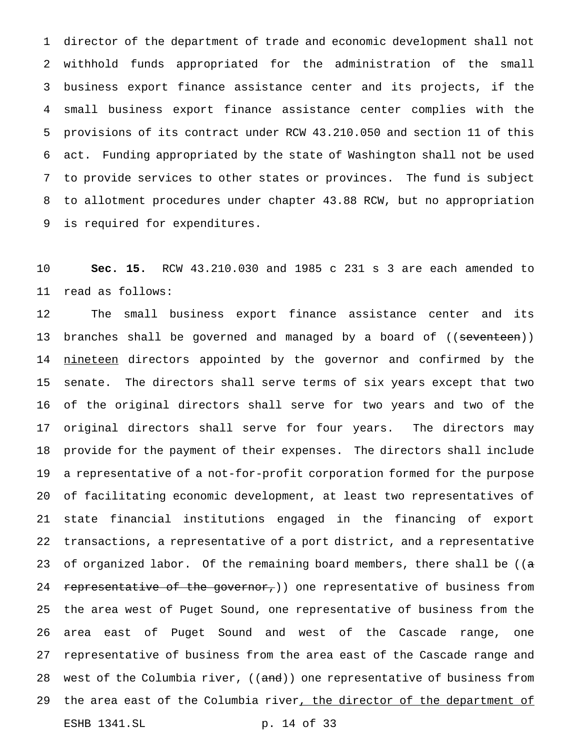director of the department of trade and economic development shall not withhold funds appropriated for the administration of the small business export finance assistance center and its projects, if the small business export finance assistance center complies with the provisions of its contract under RCW 43.210.050 and section 11 of this act. Funding appropriated by the state of Washington shall not be used to provide services to other states or provinces. The fund is subject to allotment procedures under chapter 43.88 RCW, but no appropriation is required for expenditures.

 **Sec. 15.** RCW 43.210.030 and 1985 c 231 s 3 are each amended to read as follows:

 The small business export finance assistance center and its 13 branches shall be governed and managed by a board of ((<del>seventeen</del>)) 14 nineteen directors appointed by the governor and confirmed by the senate. The directors shall serve terms of six years except that two of the original directors shall serve for two years and two of the original directors shall serve for four years. The directors may provide for the payment of their expenses. The directors shall include a representative of a not-for-profit corporation formed for the purpose of facilitating economic development, at least two representatives of state financial institutions engaged in the financing of export transactions, a representative of a port district, and a representative 23 of organized labor. Of the remaining board members, there shall be ( $(a - b)$ 24 representative of the governor,) one representative of business from the area west of Puget Sound, one representative of business from the area east of Puget Sound and west of the Cascade range, one representative of business from the area east of the Cascade range and 28 west of the Columbia river, ((and)) one representative of business from 29 the area east of the Columbia river, the director of the department of ESHB 1341.SL p. 14 of 33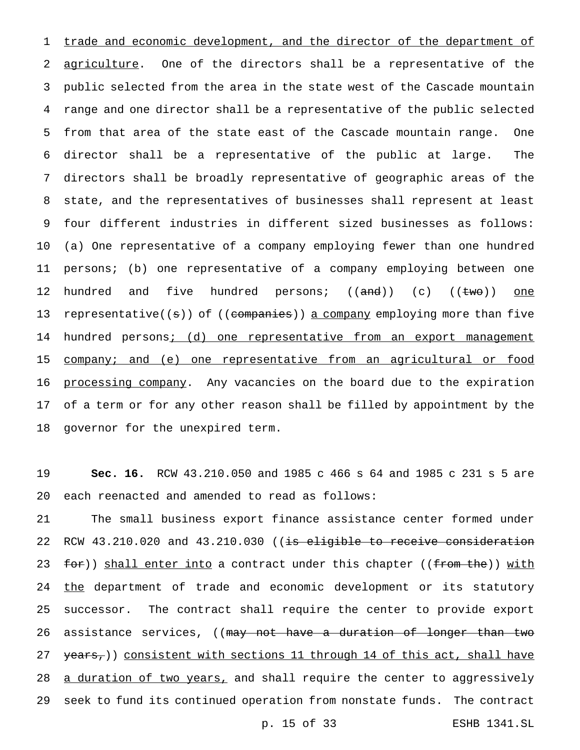1 trade and economic development, and the director of the department of 2 agriculture. One of the directors shall be a representative of the public selected from the area in the state west of the Cascade mountain range and one director shall be a representative of the public selected from that area of the state east of the Cascade mountain range. One director shall be a representative of the public at large. The directors shall be broadly representative of geographic areas of the state, and the representatives of businesses shall represent at least four different industries in different sized businesses as follows: (a) One representative of a company employing fewer than one hundred persons; (b) one representative of a company employing between one 12 hundred and five hundred persons; ((<del>and</del>)) (c) ((<del>two</del>)) <u>one</u> 13 representative((s)) of ((companies)) a company employing more than five 14 hundred persons; (d) one representative from an export management company; and (e) one representative from an agricultural or food 16 processing company. Any vacancies on the board due to the expiration of a term or for any other reason shall be filled by appointment by the governor for the unexpired term.

19 **Sec. 16.** RCW 43.210.050 and 1985 c 466 s 64 and 1985 c 231 s 5 are 20 each reenacted and amended to read as follows:

21 The small business export finance assistance center formed under 22 RCW 43.210.020 and 43.210.030 ((is eligible to receive consideration 23 for)) shall enter into a contract under this chapter ((from the)) with 24 the department of trade and economic development or its statutory 25 successor. The contract shall require the center to provide export 26 assistance services, ((may not have a duration of longer than two 27 years,)) consistent with sections 11 through 14 of this act, shall have 28 a duration of two years, and shall require the center to aggressively 29 seek to fund its continued operation from nonstate funds. The contract

p. 15 of 33 ESHB 1341.SL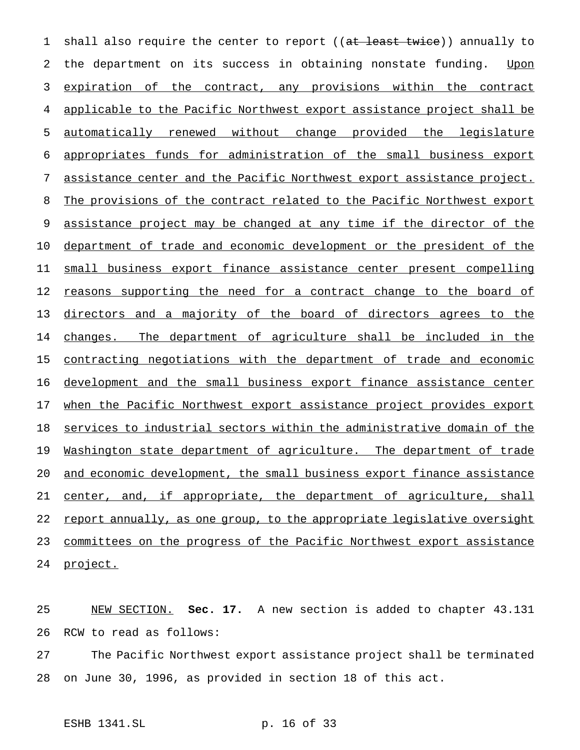1 shall also require the center to report ((at least twice)) annually to 2 the department on its success in obtaining nonstate funding. Upon 3 expiration of the contract, any provisions within the contract 4 applicable to the Pacific Northwest export assistance project shall be 5 automatically renewed without change provided the legislature 6 appropriates funds for administration of the small business export 7 assistance center and the Pacific Northwest export assistance project. 8 The provisions of the contract related to the Pacific Northwest export 9 assistance project may be changed at any time if the director of the 10 department of trade and economic development or the president of the 11 small business export finance assistance center present compelling 12 reasons supporting the need for a contract change to the board of 13 directors and a majority of the board of directors agrees to the 14 changes. The department of agriculture shall be included in the 15 contracting negotiations with the department of trade and economic 16 development and the small business export finance assistance center 17 when the Pacific Northwest export assistance project provides export 18 services to industrial sectors within the administrative domain of the 19 Washington state department of agriculture. The department of trade 20 and economic development, the small business export finance assistance 21 center, and, if appropriate, the department of agriculture, shall 22 report annually, as one group, to the appropriate legislative oversight 23 committees on the progress of the Pacific Northwest export assistance 24 project.

25 NEW SECTION. **Sec. 17.** A new section is added to chapter 43.131 26 RCW to read as follows:

27 The Pacific Northwest export assistance project shall be terminated 28 on June 30, 1996, as provided in section 18 of this act.

ESHB 1341.SL p. 16 of 33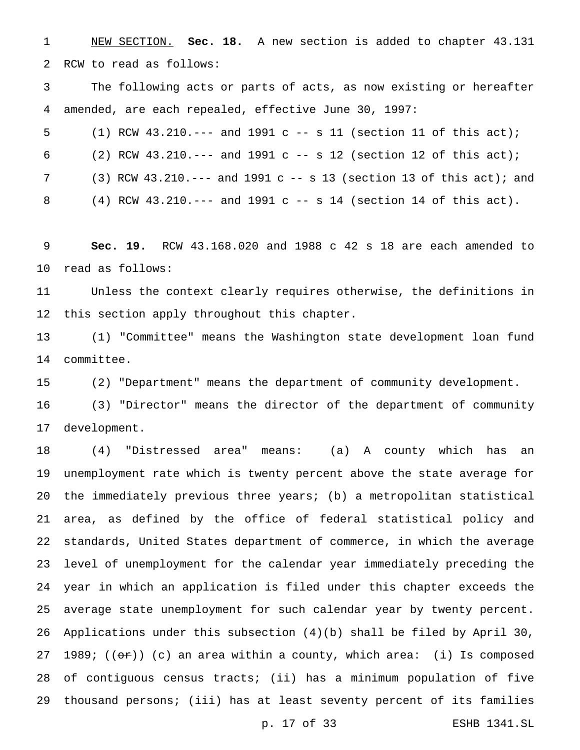NEW SECTION. **Sec. 18.** A new section is added to chapter 43.131 RCW to read as follows:

 The following acts or parts of acts, as now existing or hereafter amended, are each repealed, effective June 30, 1997:

(1) RCW 43.210.--- and 1991 c -- s 11 (section 11 of this act);

6 (2) RCW 43.210.--- and 1991 c -- s 12 (section 12 of this act);

(3) RCW 43.210.--- and 1991 c -- s 13 (section 13 of this act); and

(4) RCW 43.210.--- and 1991 c -- s 14 (section 14 of this act).

 **Sec. 19.** RCW 43.168.020 and 1988 c 42 s 18 are each amended to read as follows:

 Unless the context clearly requires otherwise, the definitions in this section apply throughout this chapter.

 (1) "Committee" means the Washington state development loan fund committee.

(2) "Department" means the department of community development.

 (3) "Director" means the director of the department of community development.

 (4) "Distressed area" means: (a) A county which has an unemployment rate which is twenty percent above the state average for the immediately previous three years; (b) a metropolitan statistical area, as defined by the office of federal statistical policy and standards, United States department of commerce, in which the average level of unemployment for the calendar year immediately preceding the year in which an application is filed under this chapter exceeds the average state unemployment for such calendar year by twenty percent. Applications under this subsection (4)(b) shall be filed by April 30, 27 1989;  $((or))$  (c) an area within a county, which area: (i) Is composed of contiguous census tracts; (ii) has a minimum population of five thousand persons; (iii) has at least seventy percent of its families

p. 17 of 33 ESHB 1341.SL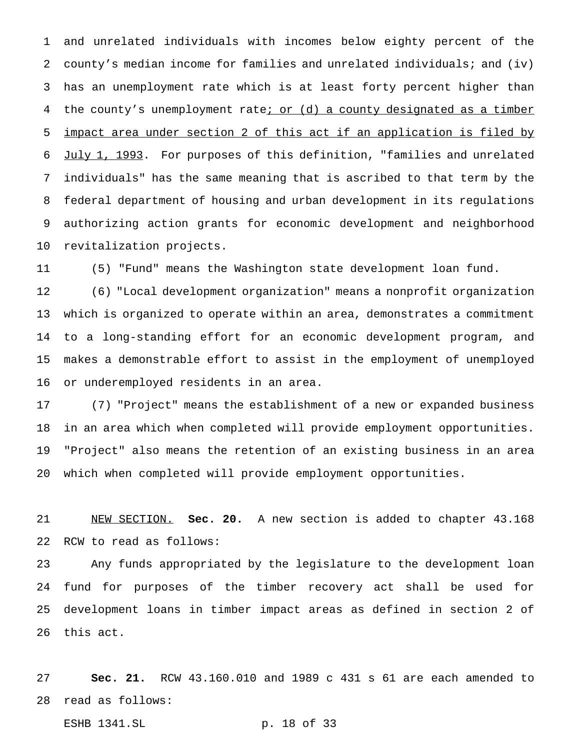and unrelated individuals with incomes below eighty percent of the county's median income for families and unrelated individuals; and (iv) has an unemployment rate which is at least forty percent higher than 4 the county's unemployment rate<sub>i</sub> or (d) a county designated as a timber impact area under section 2 of this act if an application is filed by July 1, 1993. For purposes of this definition, "families and unrelated individuals" has the same meaning that is ascribed to that term by the federal department of housing and urban development in its regulations authorizing action grants for economic development and neighborhood revitalization projects.

(5) "Fund" means the Washington state development loan fund.

 (6) "Local development organization" means a nonprofit organization which is organized to operate within an area, demonstrates a commitment to a long-standing effort for an economic development program, and makes a demonstrable effort to assist in the employment of unemployed or underemployed residents in an area.

 (7) "Project" means the establishment of a new or expanded business in an area which when completed will provide employment opportunities. "Project" also means the retention of an existing business in an area which when completed will provide employment opportunities.

 NEW SECTION. **Sec. 20.** A new section is added to chapter 43.168 RCW to read as follows:

 Any funds appropriated by the legislature to the development loan fund for purposes of the timber recovery act shall be used for development loans in timber impact areas as defined in section 2 of this act.

 **Sec. 21.** RCW 43.160.010 and 1989 c 431 s 61 are each amended to read as follows:

ESHB 1341.SL p. 18 of 33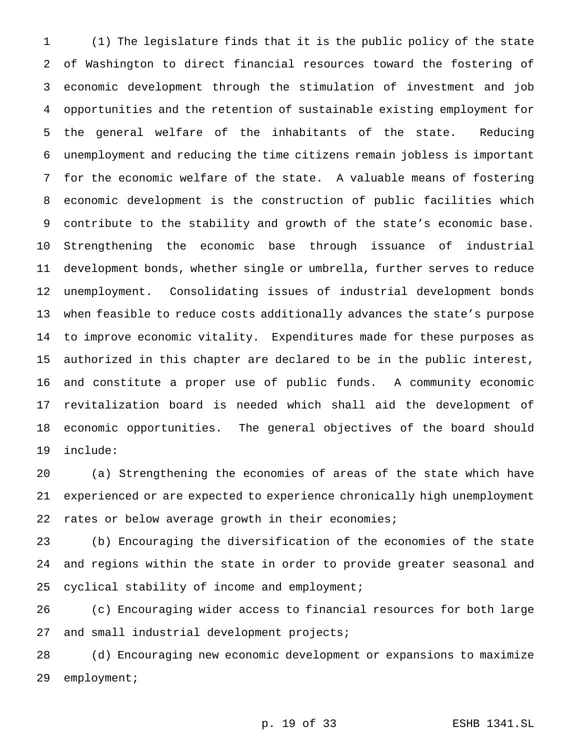(1) The legislature finds that it is the public policy of the state of Washington to direct financial resources toward the fostering of economic development through the stimulation of investment and job opportunities and the retention of sustainable existing employment for the general welfare of the inhabitants of the state. Reducing unemployment and reducing the time citizens remain jobless is important for the economic welfare of the state. A valuable means of fostering economic development is the construction of public facilities which contribute to the stability and growth of the state's economic base. Strengthening the economic base through issuance of industrial development bonds, whether single or umbrella, further serves to reduce unemployment. Consolidating issues of industrial development bonds when feasible to reduce costs additionally advances the state's purpose to improve economic vitality. Expenditures made for these purposes as authorized in this chapter are declared to be in the public interest, and constitute a proper use of public funds. A community economic revitalization board is needed which shall aid the development of economic opportunities. The general objectives of the board should include:

 (a) Strengthening the economies of areas of the state which have experienced or are expected to experience chronically high unemployment rates or below average growth in their economies;

 (b) Encouraging the diversification of the economies of the state and regions within the state in order to provide greater seasonal and cyclical stability of income and employment;

 (c) Encouraging wider access to financial resources for both large and small industrial development projects;

 (d) Encouraging new economic development or expansions to maximize employment;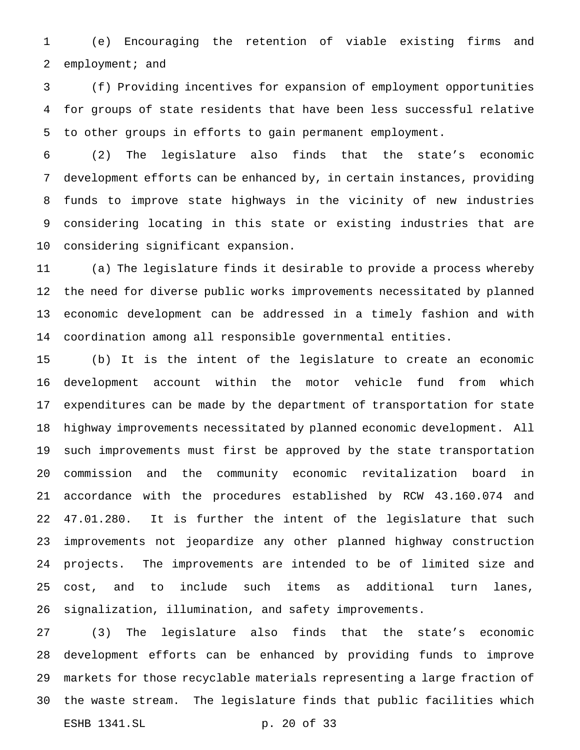(e) Encouraging the retention of viable existing firms and employment; and

 (f) Providing incentives for expansion of employment opportunities for groups of state residents that have been less successful relative to other groups in efforts to gain permanent employment.

 (2) The legislature also finds that the state's economic development efforts can be enhanced by, in certain instances, providing funds to improve state highways in the vicinity of new industries considering locating in this state or existing industries that are considering significant expansion.

 (a) The legislature finds it desirable to provide a process whereby the need for diverse public works improvements necessitated by planned economic development can be addressed in a timely fashion and with coordination among all responsible governmental entities.

 (b) It is the intent of the legislature to create an economic development account within the motor vehicle fund from which expenditures can be made by the department of transportation for state highway improvements necessitated by planned economic development. All such improvements must first be approved by the state transportation commission and the community economic revitalization board in accordance with the procedures established by RCW 43.160.074 and 47.01.280. It is further the intent of the legislature that such improvements not jeopardize any other planned highway construction projects. The improvements are intended to be of limited size and cost, and to include such items as additional turn lanes, signalization, illumination, and safety improvements.

 (3) The legislature also finds that the state's economic development efforts can be enhanced by providing funds to improve markets for those recyclable materials representing a large fraction of the waste stream. The legislature finds that public facilities which ESHB 1341.SL p. 20 of 33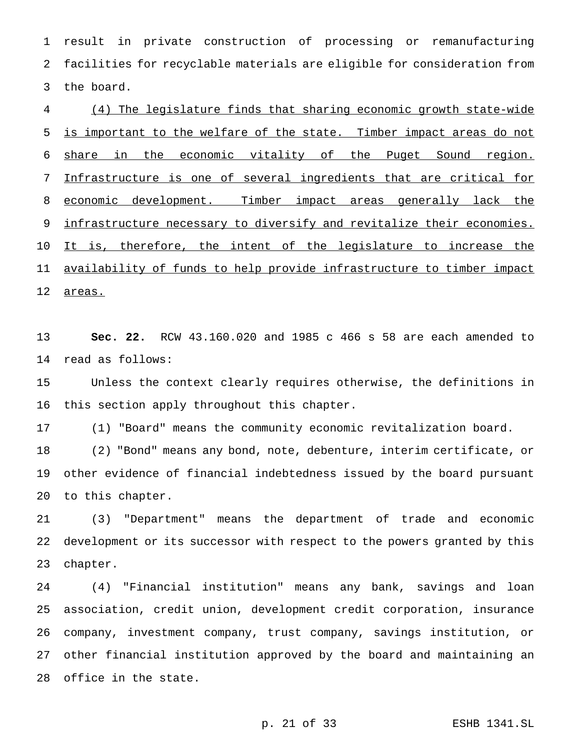result in private construction of processing or remanufacturing facilities for recyclable materials are eligible for consideration from the board.

 (4) The legislature finds that sharing economic growth state-wide 5 is important to the welfare of the state. Timber impact areas do not share in the economic vitality of the Puget Sound region. Infrastructure is one of several ingredients that are critical for 8 economic development. Timber impact areas generally lack the 9 infrastructure necessary to diversify and revitalize their economies. It is, therefore, the intent of the legislature to increase the 11 availability of funds to help provide infrastructure to timber impact 12 areas.

 **Sec. 22.** RCW 43.160.020 and 1985 c 466 s 58 are each amended to read as follows:

 Unless the context clearly requires otherwise, the definitions in this section apply throughout this chapter.

(1) "Board" means the community economic revitalization board.

 (2) "Bond" means any bond, note, debenture, interim certificate, or other evidence of financial indebtedness issued by the board pursuant to this chapter.

 (3) "Department" means the department of trade and economic development or its successor with respect to the powers granted by this chapter.

 (4) "Financial institution" means any bank, savings and loan association, credit union, development credit corporation, insurance company, investment company, trust company, savings institution, or other financial institution approved by the board and maintaining an office in the state.

p. 21 of 33 ESHB 1341.SL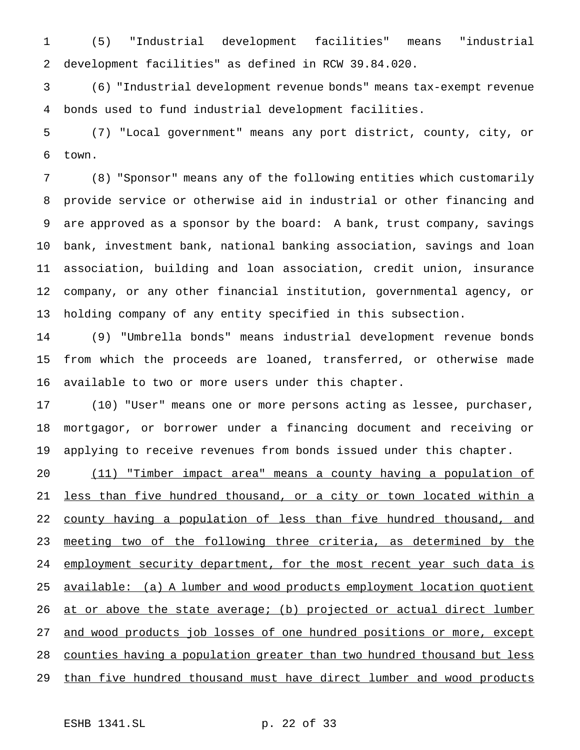(5) "Industrial development facilities" means "industrial development facilities" as defined in RCW 39.84.020.

 (6) "Industrial development revenue bonds" means tax-exempt revenue bonds used to fund industrial development facilities.

 (7) "Local government" means any port district, county, city, or town.

 (8) "Sponsor" means any of the following entities which customarily provide service or otherwise aid in industrial or other financing and are approved as a sponsor by the board: A bank, trust company, savings bank, investment bank, national banking association, savings and loan association, building and loan association, credit union, insurance company, or any other financial institution, governmental agency, or holding company of any entity specified in this subsection.

 (9) "Umbrella bonds" means industrial development revenue bonds from which the proceeds are loaned, transferred, or otherwise made available to two or more users under this chapter.

 (10) "User" means one or more persons acting as lessee, purchaser, mortgagor, or borrower under a financing document and receiving or applying to receive revenues from bonds issued under this chapter.

 (11) "Timber impact area" means a county having a population of less than five hundred thousand, or a city or town located within a 22 county having a population of less than five hundred thousand, and 23 meeting two of the following three criteria, as determined by the 24 employment security department, for the most recent year such data is available: (a) A lumber and wood products employment location quotient 26 at or above the state average; (b) projected or actual direct lumber 27 and wood products job losses of one hundred positions or more, except counties having a population greater than two hundred thousand but less 29 than five hundred thousand must have direct lumber and wood products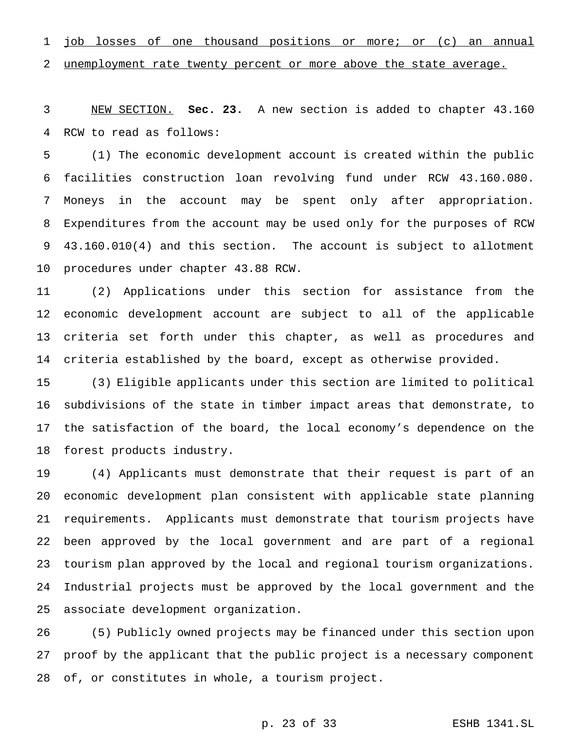1 job losses of one thousand positions or more; or (c) an annual

2 unemployment rate twenty percent or more above the state average.

 NEW SECTION. **Sec. 23.** A new section is added to chapter 43.160 RCW to read as follows:

 (1) The economic development account is created within the public facilities construction loan revolving fund under RCW 43.160.080. Moneys in the account may be spent only after appropriation. Expenditures from the account may be used only for the purposes of RCW 43.160.010(4) and this section. The account is subject to allotment procedures under chapter 43.88 RCW.

 (2) Applications under this section for assistance from the economic development account are subject to all of the applicable criteria set forth under this chapter, as well as procedures and criteria established by the board, except as otherwise provided.

 (3) Eligible applicants under this section are limited to political subdivisions of the state in timber impact areas that demonstrate, to the satisfaction of the board, the local economy's dependence on the forest products industry.

 (4) Applicants must demonstrate that their request is part of an economic development plan consistent with applicable state planning requirements. Applicants must demonstrate that tourism projects have been approved by the local government and are part of a regional tourism plan approved by the local and regional tourism organizations. Industrial projects must be approved by the local government and the associate development organization.

 (5) Publicly owned projects may be financed under this section upon proof by the applicant that the public project is a necessary component of, or constitutes in whole, a tourism project.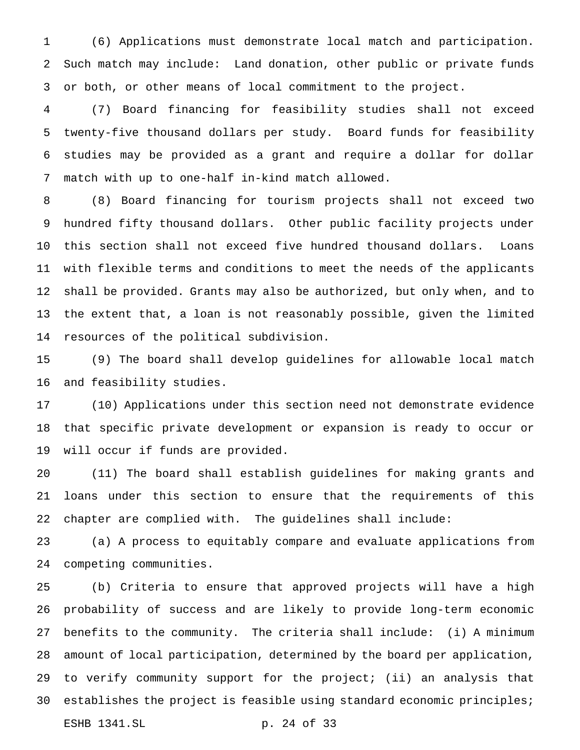(6) Applications must demonstrate local match and participation. Such match may include: Land donation, other public or private funds or both, or other means of local commitment to the project.

 (7) Board financing for feasibility studies shall not exceed twenty-five thousand dollars per study. Board funds for feasibility studies may be provided as a grant and require a dollar for dollar match with up to one-half in-kind match allowed.

 (8) Board financing for tourism projects shall not exceed two hundred fifty thousand dollars. Other public facility projects under this section shall not exceed five hundred thousand dollars. Loans with flexible terms and conditions to meet the needs of the applicants shall be provided. Grants may also be authorized, but only when, and to the extent that, a loan is not reasonably possible, given the limited resources of the political subdivision.

 (9) The board shall develop guidelines for allowable local match and feasibility studies.

 (10) Applications under this section need not demonstrate evidence that specific private development or expansion is ready to occur or will occur if funds are provided.

 (11) The board shall establish guidelines for making grants and loans under this section to ensure that the requirements of this chapter are complied with. The guidelines shall include:

 (a) A process to equitably compare and evaluate applications from competing communities.

 (b) Criteria to ensure that approved projects will have a high probability of success and are likely to provide long-term economic benefits to the community. The criteria shall include: (i) A minimum amount of local participation, determined by the board per application, to verify community support for the project; (ii) an analysis that establishes the project is feasible using standard economic principles; ESHB 1341.SL p. 24 of 33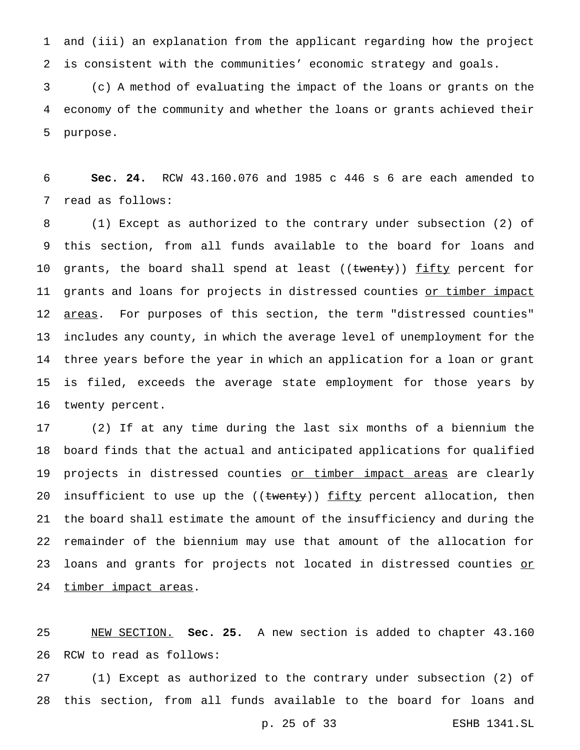and (iii) an explanation from the applicant regarding how the project is consistent with the communities' economic strategy and goals.

 (c) A method of evaluating the impact of the loans or grants on the economy of the community and whether the loans or grants achieved their purpose.

 **Sec. 24.** RCW 43.160.076 and 1985 c 446 s 6 are each amended to read as follows:

 (1) Except as authorized to the contrary under subsection (2) of this section, from all funds available to the board for loans and 10 grants, the board shall spend at least ((twenty)) fifty percent for 11 grants and loans for projects in distressed counties or timber impact 12 <u>areas</u>. For purposes of this section, the term "distressed counties" includes any county, in which the average level of unemployment for the three years before the year in which an application for a loan or grant is filed, exceeds the average state employment for those years by twenty percent.

 (2) If at any time during the last six months of a biennium the board finds that the actual and anticipated applications for qualified 19 projects in distressed counties or timber impact areas are clearly 20 insufficient to use up the ((twenty)) fifty percent allocation, then the board shall estimate the amount of the insufficiency and during the remainder of the biennium may use that amount of the allocation for 23 loans and grants for projects not located in distressed counties or 24 timber impact areas.

 NEW SECTION. **Sec. 25.** A new section is added to chapter 43.160 RCW to read as follows:

 (1) Except as authorized to the contrary under subsection (2) of this section, from all funds available to the board for loans and

p. 25 of 33 ESHB 1341.SL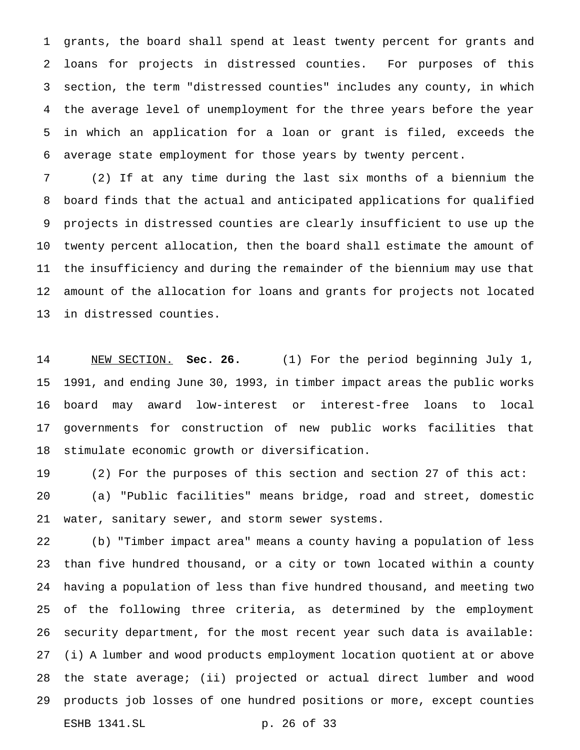grants, the board shall spend at least twenty percent for grants and loans for projects in distressed counties. For purposes of this section, the term "distressed counties" includes any county, in which the average level of unemployment for the three years before the year in which an application for a loan or grant is filed, exceeds the average state employment for those years by twenty percent.

 (2) If at any time during the last six months of a biennium the board finds that the actual and anticipated applications for qualified projects in distressed counties are clearly insufficient to use up the twenty percent allocation, then the board shall estimate the amount of the insufficiency and during the remainder of the biennium may use that amount of the allocation for loans and grants for projects not located in distressed counties.

 NEW SECTION. **Sec. 26.** (1) For the period beginning July 1, 1991, and ending June 30, 1993, in timber impact areas the public works board may award low-interest or interest-free loans to local governments for construction of new public works facilities that stimulate economic growth or diversification.

 (2) For the purposes of this section and section 27 of this act: (a) "Public facilities" means bridge, road and street, domestic water, sanitary sewer, and storm sewer systems.

 (b) "Timber impact area" means a county having a population of less than five hundred thousand, or a city or town located within a county having a population of less than five hundred thousand, and meeting two of the following three criteria, as determined by the employment security department, for the most recent year such data is available: (i) A lumber and wood products employment location quotient at or above the state average; (ii) projected or actual direct lumber and wood products job losses of one hundred positions or more, except counties ESHB 1341.SL p. 26 of 33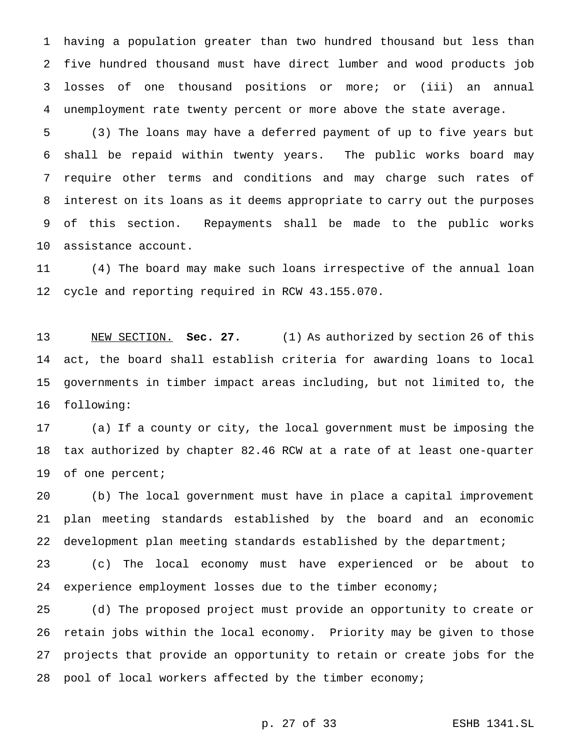having a population greater than two hundred thousand but less than five hundred thousand must have direct lumber and wood products job losses of one thousand positions or more; or (iii) an annual unemployment rate twenty percent or more above the state average.

 (3) The loans may have a deferred payment of up to five years but shall be repaid within twenty years. The public works board may require other terms and conditions and may charge such rates of interest on its loans as it deems appropriate to carry out the purposes of this section. Repayments shall be made to the public works assistance account.

 (4) The board may make such loans irrespective of the annual loan cycle and reporting required in RCW 43.155.070.

 NEW SECTION. **Sec. 27.** (1) As authorized by section 26 of this act, the board shall establish criteria for awarding loans to local governments in timber impact areas including, but not limited to, the following:

 (a) If a county or city, the local government must be imposing the tax authorized by chapter 82.46 RCW at a rate of at least one-quarter of one percent;

 (b) The local government must have in place a capital improvement plan meeting standards established by the board and an economic development plan meeting standards established by the department;

 (c) The local economy must have experienced or be about to experience employment losses due to the timber economy;

 (d) The proposed project must provide an opportunity to create or retain jobs within the local economy. Priority may be given to those projects that provide an opportunity to retain or create jobs for the pool of local workers affected by the timber economy;

p. 27 of 33 ESHB 1341.SL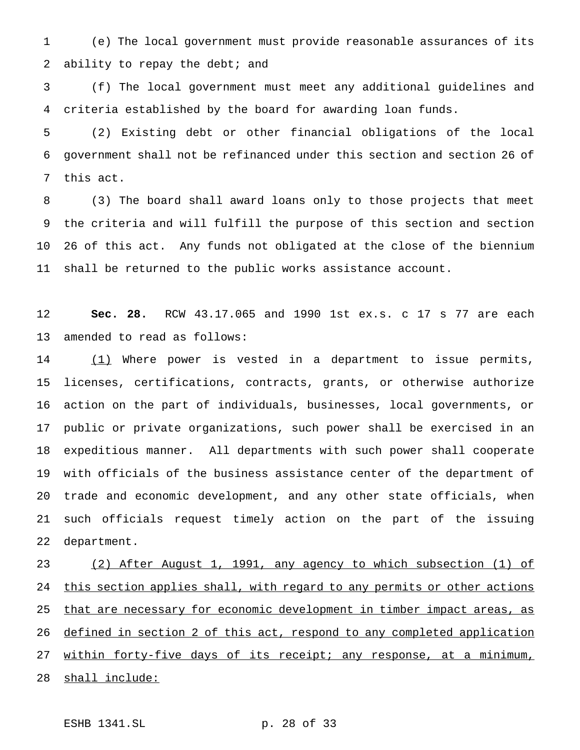(e) The local government must provide reasonable assurances of its 2 ability to repay the debt; and

 (f) The local government must meet any additional guidelines and criteria established by the board for awarding loan funds.

 (2) Existing debt or other financial obligations of the local government shall not be refinanced under this section and section 26 of this act.

 (3) The board shall award loans only to those projects that meet the criteria and will fulfill the purpose of this section and section 26 of this act. Any funds not obligated at the close of the biennium shall be returned to the public works assistance account.

 **Sec. 28.** RCW 43.17.065 and 1990 1st ex.s. c 17 s 77 are each amended to read as follows:

14 (1) Where power is vested in a department to issue permits, licenses, certifications, contracts, grants, or otherwise authorize action on the part of individuals, businesses, local governments, or public or private organizations, such power shall be exercised in an expeditious manner. All departments with such power shall cooperate with officials of the business assistance center of the department of trade and economic development, and any other state officials, when such officials request timely action on the part of the issuing department.

 (2) After August 1, 1991, any agency to which subsection (1) of 24 this section applies shall, with regard to any permits or other actions 25 that are necessary for economic development in timber impact areas, as defined in section 2 of this act, respond to any completed application 27 within forty-five days of its receipt; any response, at a minimum, 28 shall include:

ESHB 1341.SL p. 28 of 33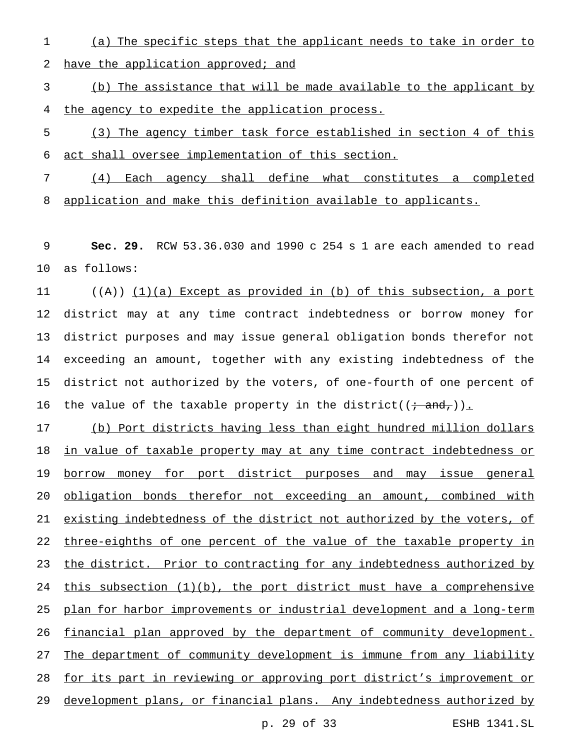(a) The specific steps that the applicant needs to take in order to

2 have the application approved; and

 (b) The assistance that will be made available to the applicant by the agency to expedite the application process.

- (3) The agency timber task force established in section 4 of this act shall oversee implementation of this section.
- (4) Each agency shall define what constitutes a completed application and make this definition available to applicants.

 **Sec. 29.** RCW 53.36.030 and 1990 c 254 s 1 are each amended to read as follows:

11 ((A)) (1)(a) Except as provided in (b) of this subsection, a port district may at any time contract indebtedness or borrow money for district purposes and may issue general obligation bonds therefor not exceeding an amount, together with any existing indebtedness of the district not authorized by the voters, of one-fourth of one percent of 16 the value of the taxable property in the district( $(i \cdot \text{and},)$ ).

 (b) Port districts having less than eight hundred million dollars 18 in value of taxable property may at any time contract indebtedness or 19 borrow money for port district purposes and may issue general obligation bonds therefor not exceeding an amount, combined with existing indebtedness of the district not authorized by the voters, of 22 three-eighths of one percent of the value of the taxable property in the district. Prior to contracting for any indebtedness authorized by 24 this subsection  $(1)(b)$ , the port district must have a comprehensive plan for harbor improvements or industrial development and a long-term financial plan approved by the department of community development. 27 The department of community development is immune from any liability for its part in reviewing or approving port district's improvement or development plans, or financial plans. Any indebtedness authorized by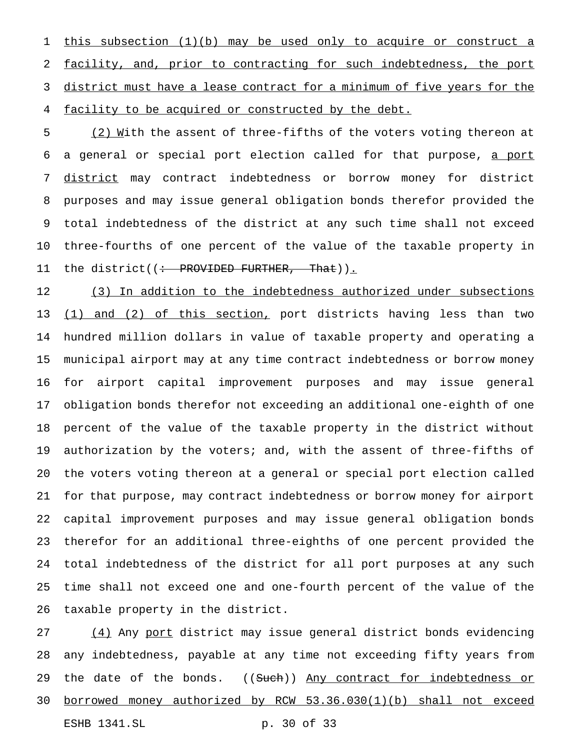this subsection (1)(b) may be used only to acquire or construct a facility, and, prior to contracting for such indebtedness, the port 3 district must have a lease contract for a minimum of five years for the facility to be acquired or constructed by the debt.

5 (2) With the assent of three-fifths of the voters voting thereon at 6 a general or special port election called for that purpose, a port district may contract indebtedness or borrow money for district purposes and may issue general obligation bonds therefor provided the total indebtedness of the district at any such time shall not exceed three-fourths of one percent of the value of the taxable property in 11 the district((: PROVIDED FURTHER, That)).

12 (3) In addition to the indebtedness authorized under subsections 13 (1) and (2) of this section, port districts having less than two hundred million dollars in value of taxable property and operating a municipal airport may at any time contract indebtedness or borrow money for airport capital improvement purposes and may issue general obligation bonds therefor not exceeding an additional one-eighth of one percent of the value of the taxable property in the district without authorization by the voters; and, with the assent of three-fifths of the voters voting thereon at a general or special port election called for that purpose, may contract indebtedness or borrow money for airport capital improvement purposes and may issue general obligation bonds therefor for an additional three-eighths of one percent provided the total indebtedness of the district for all port purposes at any such time shall not exceed one and one-fourth percent of the value of the taxable property in the district.

27 (4) Any port district may issue general district bonds evidencing any indebtedness, payable at any time not exceeding fifty years from 29 the date of the bonds. ((Such)) Any contract for indebtedness or borrowed money authorized by RCW 53.36.030(1)(b) shall not exceed ESHB 1341.SL p. 30 of 33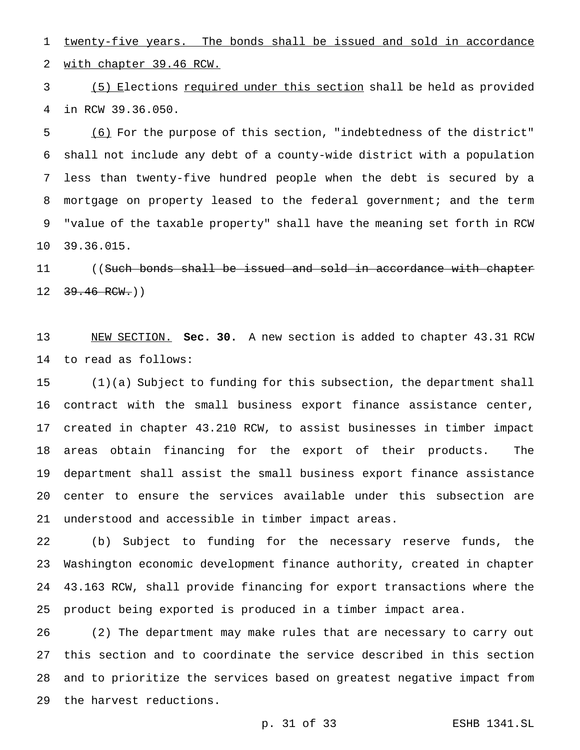1 twenty-five years. The bonds shall be issued and sold in accordance with chapter 39.46 RCW.

 (5) Elections required under this section shall be held as provided in RCW 39.36.050.

 (6) For the purpose of this section, "indebtedness of the district" shall not include any debt of a county-wide district with a population less than twenty-five hundred people when the debt is secured by a mortgage on property leased to the federal government; and the term "value of the taxable property" shall have the meaning set forth in RCW 39.36.015.

11 ((Such bonds shall be issued and sold in accordance with chapter  $12 \frac{39.46 \text{ RCW}}{100 \text{ N}}$ 

 NEW SECTION. **Sec. 30.** A new section is added to chapter 43.31 RCW to read as follows:

 (1)(a) Subject to funding for this subsection, the department shall contract with the small business export finance assistance center, created in chapter 43.210 RCW, to assist businesses in timber impact areas obtain financing for the export of their products. The department shall assist the small business export finance assistance center to ensure the services available under this subsection are understood and accessible in timber impact areas.

 (b) Subject to funding for the necessary reserve funds, the Washington economic development finance authority, created in chapter 43.163 RCW, shall provide financing for export transactions where the product being exported is produced in a timber impact area.

 (2) The department may make rules that are necessary to carry out this section and to coordinate the service described in this section and to prioritize the services based on greatest negative impact from the harvest reductions.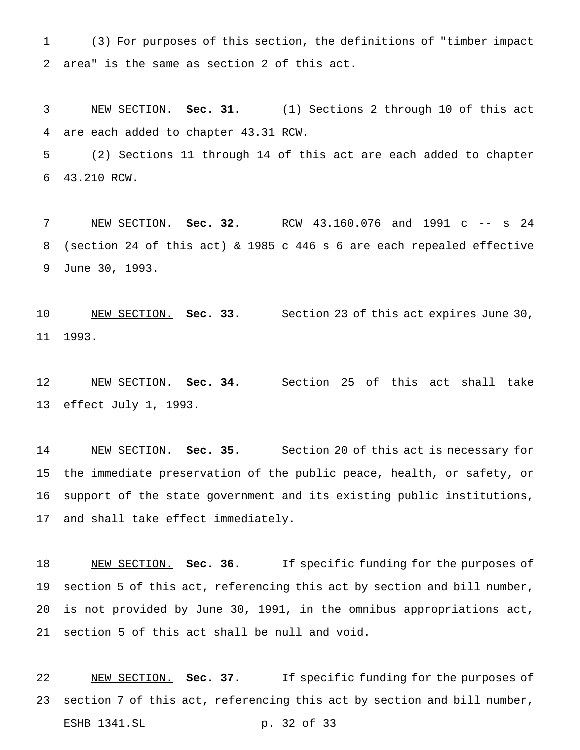(3) For purposes of this section, the definitions of "timber impact area" is the same as section 2 of this act.

 NEW SECTION. **Sec. 31.** (1) Sections 2 through 10 of this act are each added to chapter 43.31 RCW.

 (2) Sections 11 through 14 of this act are each added to chapter 43.210 RCW.

 NEW SECTION. **Sec. 32.** RCW 43.160.076 and 1991 c -- s 24 (section 24 of this act) & 1985 c 446 s 6 are each repealed effective June 30, 1993.

 NEW SECTION. **Sec. 33.** Section 23 of this act expires June 30, 1993.

 NEW SECTION. **Sec. 34.** Section 25 of this act shall take effect July 1, 1993.

 NEW SECTION. **Sec. 35.** Section 20 of this act is necessary for the immediate preservation of the public peace, health, or safety, or support of the state government and its existing public institutions, and shall take effect immediately.

 NEW SECTION. **Sec. 36.** If specific funding for the purposes of section 5 of this act, referencing this act by section and bill number, is not provided by June 30, 1991, in the omnibus appropriations act, section 5 of this act shall be null and void.

 NEW SECTION. **Sec. 37.** If specific funding for the purposes of section 7 of this act, referencing this act by section and bill number, ESHB 1341.SL p. 32 of 33